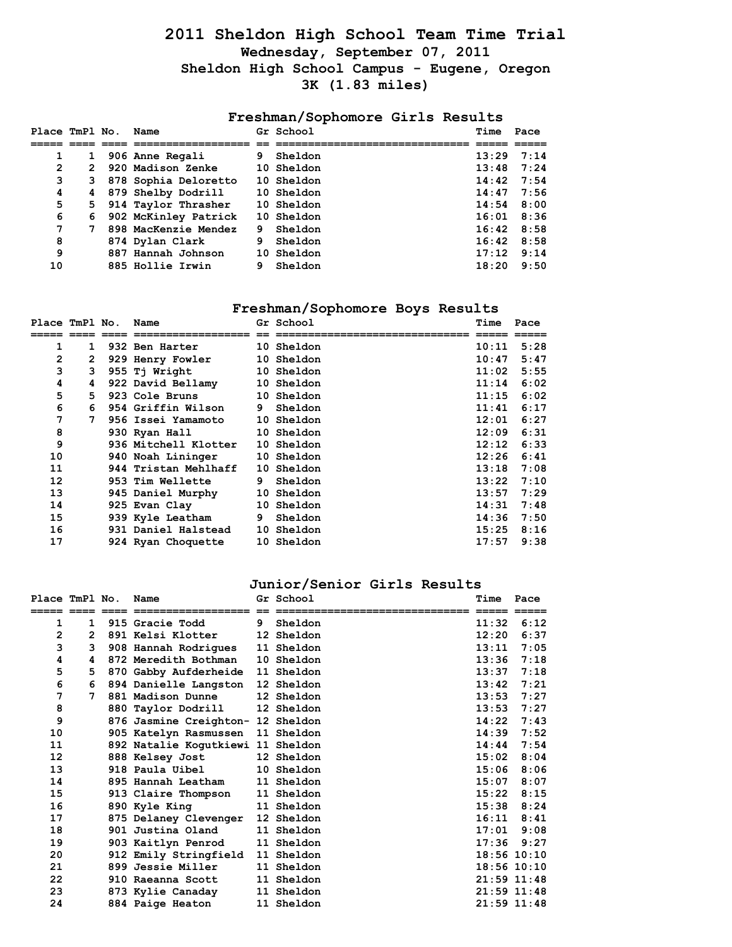## **2011 Sheldon High School Team Time Trial Wednesday, September 07, 2011 Sheldon High School Campus - Eugene, Oregon 3K (1.83 miles)**

### **Freshman/Sophomore Girls Results**

| Place TmPl No. |              | Name                   |    | Gr School  | Time               | Pace |
|----------------|--------------|------------------------|----|------------|--------------------|------|
|                |              |                        |    |            |                    |      |
| 1              | $\mathbf{1}$ | 906 Anne Regali        | 9. | Sheldon    | $13:29$ $7:14$     |      |
| $\mathbf{2}$   | 2            | 920 Madison Zenke      |    | 10 Sheldon | 13:48              | 7:24 |
| з              |              | 3 878 Sophia Deloretto |    | 10 Sheldon | $14:42$ 7:54       |      |
| 4              |              | 4 879 Shelby Dodrill   |    | 10 Sheldon | 14:47              | 7:56 |
| 5              |              | 5 914 Taylor Thrasher  |    | 10 Sheldon | $14:54$ 8:00       |      |
| 6              | 6.           | 902 McKinley Patrick   |    | 10 Sheldon | $16:01$ 8:36       |      |
| 7              | 7            | 898 MacKenzie Mendez   | 9. | Sheldon    | $16:42$ 8:58       |      |
| 8              |              | 874 Dylan Clark        | 9  | Sheldon    | $16:42 \quad 8:58$ |      |
| 9              |              | 887 Hannah Johnson     |    | 10 Sheldon | 17:12              | 9:14 |
| 10             |              | 885 Hollie Irwin       | 9  | Sheldon    | 18:20              | 9:50 |

## **Freshman/Sophomore Boys Results**

| Place TmPl No. |    | Name                 |    | Gr School  | Time  | Pace |
|----------------|----|----------------------|----|------------|-------|------|
|                |    |                      |    |            |       |      |
| 1              | 1  | 932 Ben Harter       |    | 10 Sheldon | 10:11 | 5:28 |
| 2              | 2  | 929 Henry Fowler     |    | 10 Sheldon | 10:47 | 5:47 |
| 3              | 3  | 955 Tj Wright        |    | 10 Sheldon | 11:02 | 5:55 |
| 4              | 4  | 922 David Bellamy    |    | 10 Sheldon | 11:14 | 6:02 |
| 5              | 5. | 923 Cole Bruns       |    | 10 Sheldon | 11:15 | 6:02 |
| 6              | 6  | 954 Griffin Wilson   | 9. | Sheldon    | 11:41 | 6:17 |
| 7              | 7  | 956 Issei Yamamoto   |    | 10 Sheldon | 12:01 | 6:27 |
| 8              |    | 930 Ryan Hall        |    | 10 Sheldon | 12:09 | 6:31 |
| 9              |    | 936 Mitchell Klotter |    | 10 Sheldon | 12:12 | 6:33 |
| 10             |    | 940 Noah Lininger    |    | 10 Sheldon | 12:26 | 6:41 |
| 11             |    | 944 Tristan Mehlhaff |    | 10 Sheldon | 13:18 | 7:08 |
| 12             |    | 953 Tim Wellette     | 9  | Sheldon    | 13:22 | 7:10 |
| 13             |    | 945 Daniel Murphy    |    | 10 Sheldon | 13:57 | 7:29 |
| 14             |    | 925 Evan Clay        |    | 10 Sheldon | 14:31 | 7:48 |
| 15             |    | 939 Kyle Leatham     | 9  | Sheldon    | 14:36 | 7:50 |
| 16             |    | 931 Daniel Halstead  |    | 10 Sheldon | 15:25 | 8:16 |
| 17             |    | 924 Ryan Choquette   |    | 10 Sheldon | 17:57 | 9:38 |

#### **Junior/Senior Girls Results**

| Place TmPl No. |                | Name                              |   | Gr School         | Time            | Pace |
|----------------|----------------|-----------------------------------|---|-------------------|-----------------|------|
|                |                |                                   |   |                   |                 |      |
| 1              | 1              | 915 Gracie Todd                   | 9 | Sheldon           | 11:32           | 6:12 |
| 2              | $\overline{2}$ | 891 Kelsi Klotter                 |   | 12 Sheldon        | 12:20           | 6:37 |
| 3              | 3              | 908 Hannah Rodrigues              |   | 11 Sheldon        | 13:11           | 7:05 |
| 4              | 4              | 872 Meredith Bothman              |   | 10 Sheldon        | 13:36           | 7:18 |
| 5              | 5              | 870 Gabby Aufderheide 11 Sheldon  |   |                   | 13:37           | 7:18 |
| 6              | 6              | 894 Danielle Langston             |   | <b>12 Sheldon</b> | 13:42           | 7:21 |
| 7              | 7              | 881 Madison Dunne                 |   | 12 Sheldon        | 13:53           | 7:27 |
| 8              |                | 880 Taylor Dodrill                |   | 12 Sheldon        | 13:53           | 7:27 |
| 9              |                | 876 Jasmine Creighton- 12 Sheldon |   |                   | 14:22           | 7:43 |
| 10             |                | 905 Katelyn Rasmussen 11 Sheldon  |   |                   | 14:39           | 7:52 |
| 11             |                | 892 Natalie Kogutkiewi 11 Sheldon |   |                   | 14:44           | 7:54 |
| 12             |                | 888 Kelsey Jost                   |   | 12 Sheldon        | 15:02           | 8:04 |
| 13             |                | 918 Paula Uibel                   |   | 10 Sheldon        | 15:06           | 8:06 |
| 14             |                | 895 Hannah Leatham                |   | 11 Sheldon        | 15:07           | 8:07 |
| 15             |                | 913 Claire Thompson               |   | 11 Sheldon        | 15:22           | 8:15 |
| 16             |                | 890 Kyle King                     |   | 11 Sheldon        | 15:38           | 8:24 |
| 17             |                | 875 Delaney Clevenger             |   | <b>12 Sheldon</b> | 16:11           | 8:41 |
| 18             |                | 901 Justina Oland                 |   | 11 Sheldon        | 17:01           | 9:08 |
| 19             |                | 903 Kaitlyn Penrod                |   | 11 Sheldon        | 17:36           | 9:27 |
| 20             |                | 912 Emily Stringfield             |   | <b>11 Sheldon</b> | 18:56 10:10     |      |
| 21             |                | 899 Jessie Miller                 |   | 11 Sheldon        | 18:56 10:10     |      |
| 22             |                | 910 Raeanna Scott                 |   | 11 Sheldon        | 21:59 11:48     |      |
| 23             |                | 873 Kylie Canaday                 |   | 11 Sheldon        | $21:59$ $11:48$ |      |
| 24             |                | 884 Paige Heaton                  |   | 11 Sheldon        | 21:59 11:48     |      |